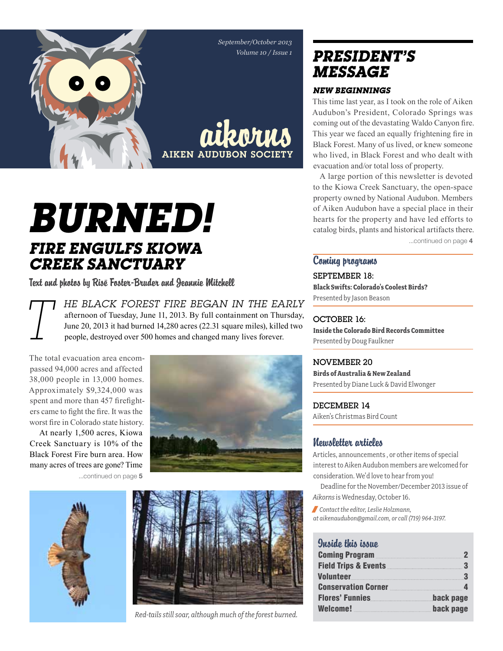*September/October 2013 Volume 10 / Issue 1*

aikorns

AIKEN AUDUBON SOC

*Burned! Fire engulfs Kiowa Creek Sanctuary* 

Text and photos by Risë Foster-Bruder and Jeannie Mitchell

*T he Black Forest Fire began in the early*  afternoon of Tuesday, June 11, 2013. By full containment on Thursday, June 20, 2013 it had burned 14,280 acres (22.31 square miles), killed two people, destroyed over 500 homes and changed many lives forever.

The total evacuation area encompassed 94,000 acres and affected 38,000 people in 13,000 homes. Approximately \$9,324,000 was spent and more than 457 firefighters came to fight the fire. It was the worst fire in Colorado state history.

At nearly 1,500 acres, Kiowa Creek Sanctuary is 10% of the Black Forest Fire burn area. How many acres of trees are gone? Time ...continued on page 5







*Red-tails still soar, although much of the forest burned.*

### *president's message*

### *New Beginnings*

This time last year, as I took on the role of Aiken Audubon's President, Colorado Springs was coming out of the devastating Waldo Canyon fire. This year we faced an equally frightening fire in Black Forest. Many of us lived, or knew someone who lived, in Black Forest and who dealt with evacuation and/or total loss of property.

A large portion of this newsletter is devoted to the Kiowa Creek Sanctuary, the open-space property owned by National Audubon. Members of Aiken Audubon have a special place in their hearts for the property and have led efforts to catalog birds, plants and historical artifacts there.

...continued on page 4

### Coming programs

September 18: **Black Swifts: Colorado's Coolest Birds?** Presented by Jason Beason

### OCTOBER 16:

**Inside the Colorado Bird Records Committee** Presented by Doug Faulkner

### November 20

**Birds of Australia & New Zealand** Presented by Diane Luck & David Elwonger

DECEMBER 14 Aiken's Christmas Bird Count

### Newsletter articles

Articles, announcements , or other items of special interest to Aiken Audubon members are welcomed for consideration. We'd love to hear from you!

Deadline for the November/December 2013 issue of *Aikorns* is Wednesday, October 16.

/ *Contact the editor, Leslie Holzmann, at aikenaudubon@gmail.com, or call (719) 964-3197.*

### Inside this issue

| Coming Program 2                                                                                               |           |
|----------------------------------------------------------------------------------------------------------------|-----------|
|                                                                                                                |           |
| Volunteer volunteer van die kommunikasie van die kommunikasie van die kommunikasie van die kommunikasie van di | -3        |
| Conservation Corner 4                                                                                          |           |
| Flores' Funnies                                                                                                | back page |
|                                                                                                                | back page |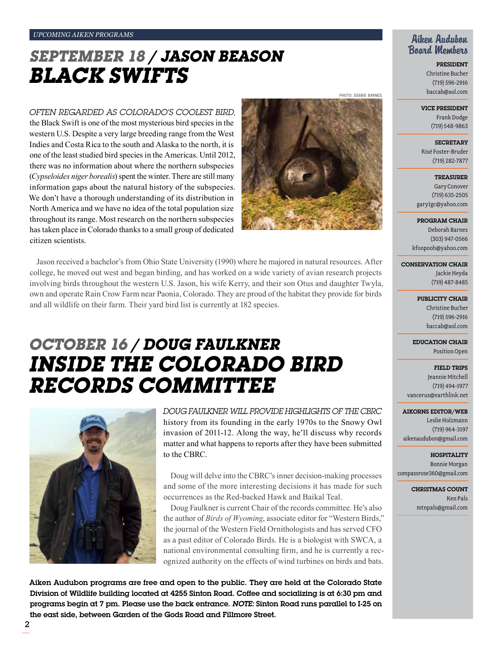## *september 18 / Jason Beason Black Swifts*

*Often regarded as Colorado's Coolest Bird,* 

the Black Swift is one of the most mysterious bird species in the western U.S. Despite a very large breeding range from the West Indies and Costa Rica to the south and Alaska to the north, it is one of the least studied bird species in the Americas. Until 2012, there was no information about where the northern subspecies (*Cypseloides niger borealis*) spent the winter. There are still many information gaps about the natural history of the subspecies. We don't have a thorough understanding of its distribution in North America and we have no idea of the total population size throughout its range. Most research on the northern subspecies has taken place in Colorado thanks to a small group of dedicated citizen scientists.



Photo: debbie barnes

Jason received a bachelor's from Ohio State University (1990) where he majored in natural resources. After college, he moved out west and began birding, and has worked on a wide variety of avian research projects involving birds throughout the western U.S. Jason, his wife Kerry, and their son Otus and daughter Twyla, own and operate Rain Crow Farm near Paonia, Colorado. They are proud of the habitat they provide for birds and all wildlife on their farm. Their yard bird list is currently at 182 species.

## *October 16 / doug Faulkner Inside the colorado bird records committee*



*Doug Faulkner will provide highlights of the CBRC* history from its founding in the early 1970s to the Snowy Owl invasion of 2011-12. Along the way, he'll discuss why records matter and what happens to reports after they have been submitted to the CBRC.

Doug will delve into the CBRC's inner decision-making processes and some of the more interesting decisions it has made for such occurrences as the Red-backed Hawk and Baikal Teal.

Doug Faulkner is current Chair of the records committee. He's also the author of *Birds of Wyoming*, associate editor for "Western Birds," the journal of the Western Field Ornithologists and has served CFO as a past editor of Colorado Birds. He is a biologist with SWCA, a national environmental consulting firm, and he is currently a recognized authority on the effects of wind turbines on birds and bats.

Aiken Audubon programs are free and open to the public. They are held at the Colorado State Division of Wildlife building located at 4255 Sinton Road. Coffee and socializing is at 6:30 pm and programs begin at 7 pm. Please use the back entrance. *Note:* Sinton Road runs parallel to I-25 on the east side, between Garden of the Gods Road and Fillmore Street.

### Aiken Audubon Board Members

President Christine Bucher (719) 596-2916 baccab@aol.com

#### Vice President

Frank Dodge (719) 548-9863

**SECRETARY** Risë Foster-Bruder (719) 282-7877

**TREASURER** Gary Conover (719) 635-2505 gary1gc@yahoo.com

Program Chair

Deborah Barnes (303) 947-0566 kfoopooh@yahoo.com

Conservation Chair

Jackie Heyda (719) 487-8485

PUBLICITY CHAIR Christine Bucher

(719) 596-2916 baccab@aol.com

Education Chair Position Open

Field Trips Jeannie Mitchell (719) 494-1977 vancerus@earthlink.net

#### Aikorns Editor/Web

Leslie Holzmann (719) 964-3197 aikenaudubon@gmail.com

**HOSPITALITY** Bonnie Morgan compassrose360@gmail.com

> CHRISTMAS COUNT Ken Pals mtnpals@gmail.com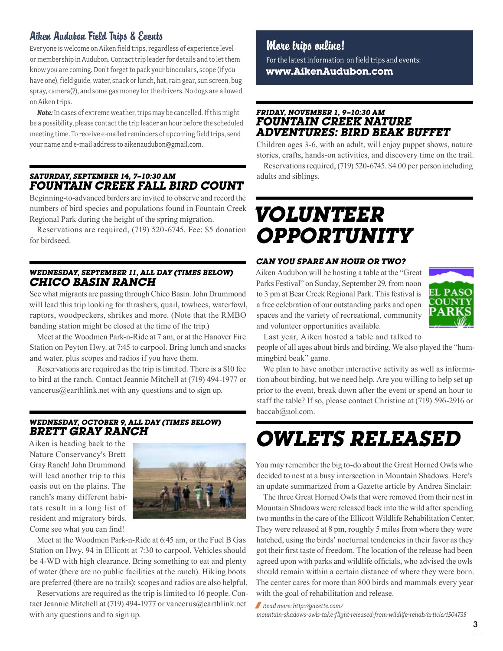### Aiken Audubon Field Trips & Events

Everyone is welcome on Aiken field trips, regardless of experience level or membership in Audubon. Contact trip leader for details and to let them know you are coming. Don't forget to pack your binoculars, scope (if you have one), field guide, water, snack or lunch, hat, rain gear, sun screen, bug spray, camera(?), and some gas money for the drivers. No dogs are allowed on Aiken trips.

*Note:* In cases of extreme weather, trips may be cancelled. If this might be a possibility, please contact the trip leader an hour before the scheduled meeting time. To receive e-mailed reminders of upcoming field trips, send your name and e-mail address to aikenaudubon@gmail.com.

### *Saturday, september 14, 7–10:30 am Fountain Creek Fall Bird Count*

Beginning-to-advanced birders are invited to observe and record the numbers of bird species and populations found in Fountain Creek Regional Park during the height of the spring migration.

Reservations are required, (719) 520-6745. Fee: \$5 donation for birdseed.

### *Wednesday, September 11, all day (times below) Chico Basin Ranch*

See what migrants are passing through Chico Basin. John Drummond will lead this trip looking for thrashers, quail, towhees, waterfowl, raptors, woodpeckers, shrikes and more. (Note that the RMBO banding station might be closed at the time of the trip.)

Meet at the Woodmen Park-n-Ride at 7 am, or at the Hanover Fire Station on Peyton Hwy. at 7:45 to carpool. Bring lunch and snacks and water, plus scopes and radios if you have them.

Reservations are required as the trip is limited. There is a \$10 fee to bird at the ranch. Contact Jeannie Mitchell at (719) 494-1977 or vancerus@earthlink.net with any questions and to sign up.

### *wednesday, October 9, all day (times below) brett gray ranch*

Aiken is heading back to the Nature Conservancy's Brett Gray Ranch! John Drummond will lead another trip to this oasis out on the plains. The ranch's many different habitats result in a long list of resident and migratory birds. Come see what you can find!



Meet at the Woodmen Park-n-Ride at 6:45 am, or the Fuel B Gas Station on Hwy. 94 in Ellicott at 7:30 to carpool. Vehicles should be 4-WD with high clearance. Bring something to eat and plenty of water (there are no public facilities at the ranch). Hiking boots are preferred (there are no trails); scopes and radios are also helpful.

Reservations are required as the trip is limited to 16 people. Contact Jeannie Mitchell at (719) 494-1977 or vancerus@earthlink.net with any questions and to sign up.

More trips online! For the latest information on field trips and events:

**www.AikenAudubon.com**

### *friday, november 1, 9–10:30 am Fountain Creek nature adventures: bird beak buffet*

Children ages 3-6, with an adult, will enjoy puppet shows, nature stories, crafts, hands-on activities, and discovery time on the trail.

Reservations required, (719) 520-6745. \$4.00 per person including adults and siblings.

## *Volunteer Opportunity*

### *can you spare an hour or two?*

Aiken Audubon will be hosting a table at the "Great Parks Festival" on Sunday, September 29, from noon to 3 pm at Bear Creek Regional Park. This festival is a free celebration of our outstanding parks and open spaces and the variety of recreational, community and volunteer opportunities available.



Last year, Aiken hosted a table and talked to

people of all ages about birds and birding. We also played the "hummingbird beak" game.

We plan to have another interactive activity as well as information about birding, but we need help. Are you willing to help set up prior to the event, break down after the event or spend an hour to staff the table? If so, please contact Christine at (719) 596-2916 or baccab@aol.com.

# *Owlets Released*

You may remember the big to-do about the Great Horned Owls who decided to nest at a busy intersection in Mountain Shadows. Here's an update summarized from a Gazette article by Andrea Sinclair:

The three Great Horned Owls that were removed from their nest in Mountain Shadows were released back into the wild after spending two months in the care of the Ellicott Wildlife Rehabilitation Center. They were released at 8 pm, roughly 5 miles from where they were hatched, using the birds' nocturnal tendencies in their favor as they got their first taste of freedom. The location of the release had been agreed upon with parks and wildlife officials, who advised the owls should remain within a certain distance of where they were born. The center cares for more than 800 birds and mammals every year with the goal of rehabilitation and release.

/ *Read more: http://gazette.com/*

*mountain-shadows-owls-take-flight-released-from-wildlife-rehab/article/1504735*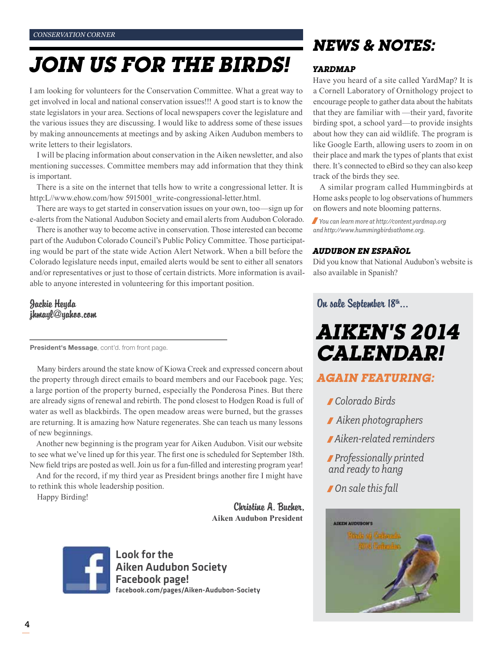# *Join Us For the Birds!*

I am looking for volunteers for the Conservation Committee. What a great way to get involved in local and national conservation issues!!! A good start is to know the state legislators in your area. Sections of local newspapers cover the legislature and the various issues they are discussing. I would like to address some of these issues by making announcements at meetings and by asking Aiken Audubon members to write letters to their legislators.

I will be placing information about conservation in the Aiken newsletter, and also mentioning successes. Committee members may add information that they think is important.

There is a site on the internet that tells how to write a congressional letter. It is http:L//www.ehow.com/how 5915001\_write-congressional-letter.html.

There are ways to get started in conservation issues on your own, too—sign up for e-alerts from the National Audubon Society and email alerts from Audubon Colorado.

There is another way to become active in conservation. Those interested can become part of the Audubon Colorado Council's Public Policy Committee. Those participating would be part of the state wide Action Alert Network. When a bill before the Colorado legislature needs input, emailed alerts would be sent to either all senators and/or representatives or just to those of certain districts. More information is available to anyone interested in volunteering for this important position.

Jackie Heyda jhmayl@yahoo.com

President's Message, cont'd. from front page.

Many birders around the state know of Kiowa Creek and expressed concern about the property through direct emails to board members and our Facebook page. Yes; a large portion of the property burned, especially the Ponderosa Pines. But there are already signs of renewal and rebirth. The pond closest to Hodgen Road is full of water as well as blackbirds. The open meadow areas were burned, but the grasses are returning. It is amazing how Nature regenerates. She can teach us many lessons of new beginnings.

Another new beginning is the program year for Aiken Audubon. Visit our website to see what we've lined up for this year. The first one is scheduled for September 18th. New field trips are posted as well. Join us for a fun-filled and interesting program year!

And for the record, if my third year as President brings another fire I might have to rethink this whole leadership position.

Happy Birding!

Christine A. Bucher, **Aiken Audubon President**



Look for the Aiken Audubon Society Facebook page! facebook.com/pages/Aiken-Audubon-Society

## *News & Notes:*

### *YardMap*

Have you heard of a site called YardMap? It is a Cornell Laboratory of Ornithology project to encourage people to gather data about the habitats that they are familiar with —their yard, favorite birding spot, a school yard—to provide insights about how they can aid wildlife. The program is like Google Earth, allowing users to zoom in on their place and mark the types of plants that exist there. It's connected to eBird so they can also keep track of the birds they see.

A similar program called Hummingbirds at Home asks people to log observations of hummers on flowers and note blooming patterns.

/*You can learn more at http://content.yardmap.org and http://www.hummingbirdsathome.org.*

### *Audubon en EspaÑol*

Did you know that National Audubon's website is also available in Spanish?

### On sale September 18th...

*Aiken's 2014 Calendar!*

### *again Featuring:*

- / *Colorado Birds*
- / *Aiken photographers*
- / *Aiken-related reminders*
- /*Professionally printed and ready to hang*
- / *On sale this fall*

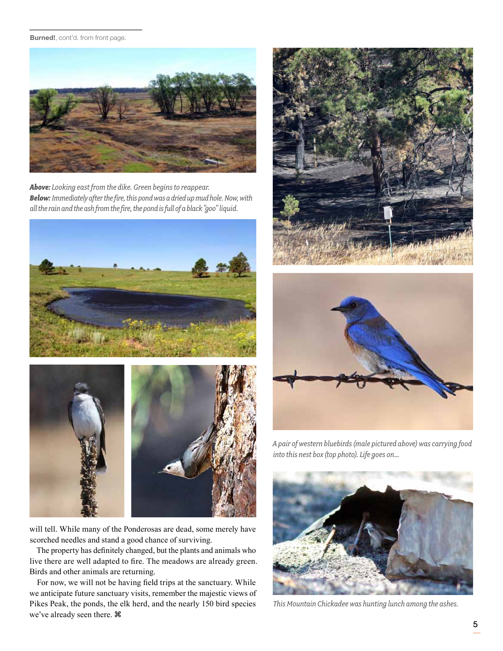#### Burned!, cont'd. from front page.



*Above: Looking east from the dike. Green begins to reappear. Below: Immediately after the fire, this pond was a dried up mud hole. Now, with all the rain and the ash from the fire, the pond is full of a black "goo" liquid.*





will tell. While many of the Ponderosas are dead, some merely have scorched needles and stand a good chance of surviving.

The property has definitely changed, but the plants and animals who live there are well adapted to fire. The meadows are already green. Birds and other animals are returning.

For now, we will not be having field trips at the sanctuary. While we anticipate future sanctuary visits, remember the majestic views of Pikes Peak, the ponds, the elk herd, and the nearly 150 bird species we've already seen there.





*A pair of western bluebirds (male pictured above) was carrying food into this nest box (top photo). Life goes on...*



*This Mountain Chickadee was hunting lunch among the ashes.*